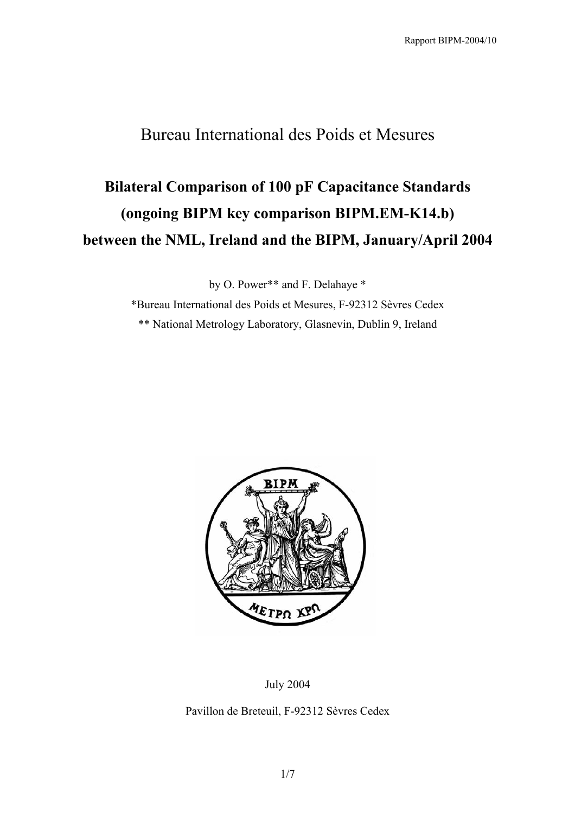### Bureau International des Poids et Mesures

# **Bilateral Comparison of 100 pF Capacitance Standards (ongoing BIPM key comparison BIPM.EM-K14.b) between the NML, Ireland and the BIPM, January/April 2004**

by O. Power\*\* and F. Delahaye \*

\*Bureau International des Poids et Mesures, F-92312 Sèvres Cedex \*\* National Metrology Laboratory, Glasnevin, Dublin 9, Ireland



July 2004

Pavillon de Breteuil, F-92312 Sèvres Cedex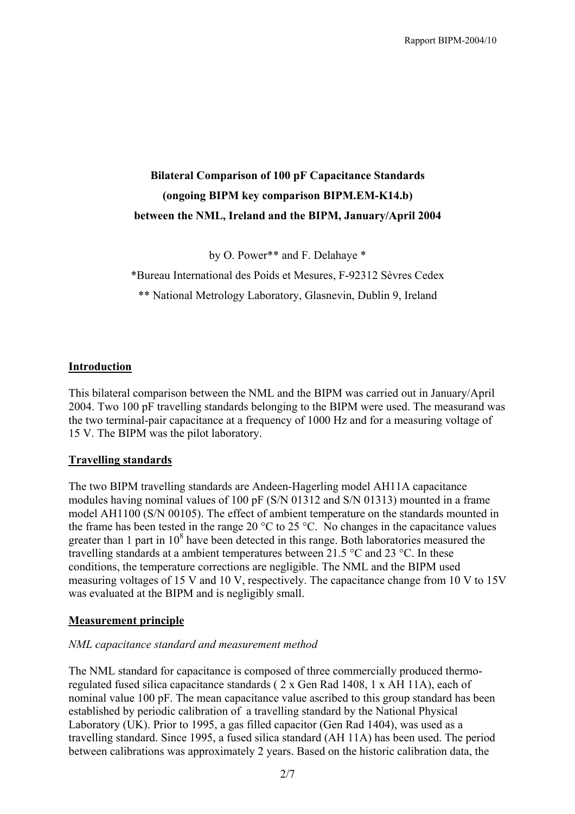### **Bilateral Comparison of 100 pF Capacitance Standards (ongoing BIPM key comparison BIPM.EM-K14.b) between the NML, Ireland and the BIPM, January/April 2004**

by O. Power\*\* and F. Delahaye \*

\*Bureau International des Poids et Mesures, F-92312 Sèvres Cedex

\*\* National Metrology Laboratory, Glasnevin, Dublin 9, Ireland

#### **Introduction**

This bilateral comparison between the NML and the BIPM was carried out in January/April 2004. Two 100 pF travelling standards belonging to the BIPM were used. The measurand was the two terminal-pair capacitance at a frequency of 1000 Hz and for a measuring voltage of 15 V. The BIPM was the pilot laboratory.

#### **Travelling standards**

The two BIPM travelling standards are Andeen-Hagerling model AH11A capacitance modules having nominal values of 100 pF (S/N 01312 and S/N 01313) mounted in a frame model AH1100 (S/N 00105). The effect of ambient temperature on the standards mounted in the frame has been tested in the range 20  $\rm{^{\circ}C}$  to 25  $\rm{^{\circ}C}$ . No changes in the capacitance values greater than 1 part in  $10^8$  have been detected in this range. Both laboratories measured the travelling standards at a ambient temperatures between 21.5 °C and 23 °C. In these conditions, the temperature corrections are negligible. The NML and the BIPM used measuring voltages of 15 V and 10 V, respectively. The capacitance change from 10 V to 15V was evaluated at the BIPM and is negligibly small.

#### **Measurement principle**

#### *NML capacitance standard and measurement method*

The NML standard for capacitance is composed of three commercially produced thermoregulated fused silica capacitance standards ( 2 x Gen Rad 1408, 1 x AH 11A), each of nominal value 100 pF. The mean capacitance value ascribed to this group standard has been established by periodic calibration of a travelling standard by the National Physical Laboratory (UK). Prior to 1995, a gas filled capacitor (Gen Rad 1404), was used as a travelling standard. Since 1995, a fused silica standard (AH 11A) has been used. The period between calibrations was approximately 2 years. Based on the historic calibration data, the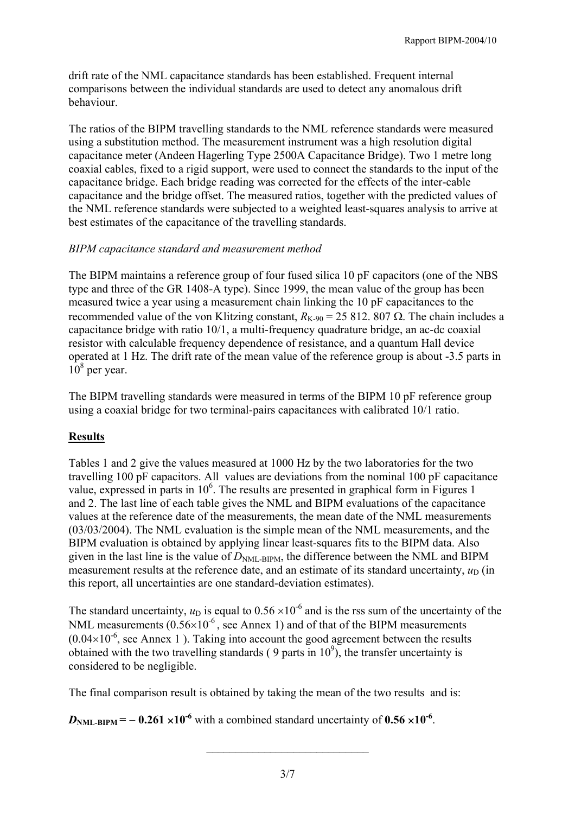drift rate of the NML capacitance standards has been established. Frequent internal comparisons between the individual standards are used to detect any anomalous drift behaviour.

The ratios of the BIPM travelling standards to the NML reference standards were measured using a substitution method. The measurement instrument was a high resolution digital capacitance meter (Andeen Hagerling Type 2500A Capacitance Bridge). Two 1 metre long coaxial cables, fixed to a rigid support, were used to connect the standards to the input of the capacitance bridge. Each bridge reading was corrected for the effects of the inter-cable capacitance and the bridge offset. The measured ratios, together with the predicted values of the NML reference standards were subjected to a weighted least-squares analysis to arrive at best estimates of the capacitance of the travelling standards.

#### *BIPM capacitance standard and measurement method*

The BIPM maintains a reference group of four fused silica 10 pF capacitors (one of the NBS type and three of the GR 1408-A type). Since 1999, the mean value of the group has been measured twice a year using a measurement chain linking the 10 pF capacitances to the recommended value of the von Klitzing constant,  $R_{K-90} = 25812$ . 807  $\Omega$ . The chain includes a capacitance bridge with ratio 10/1, a multi-frequency quadrature bridge, an ac-dc coaxial resistor with calculable frequency dependence of resistance, and a quantum Hall device operated at 1 Hz. The drift rate of the mean value of the reference group is about -3.5 parts in  $10<sup>8</sup>$  per year.

The BIPM travelling standards were measured in terms of the BIPM 10 pF reference group using a coaxial bridge for two terminal-pairs capacitances with calibrated 10/1 ratio.

#### **Results**

Tables 1 and 2 give the values measured at 1000 Hz by the two laboratories for the two travelling 100 pF capacitors. All values are deviations from the nominal 100 pF capacitance value, expressed in parts in  $10<sup>6</sup>$ . The results are presented in graphical form in Figures 1 and 2. The last line of each table gives the NML and BIPM evaluations of the capacitance values at the reference date of the measurements, the mean date of the NML measurements (03/03/2004). The NML evaluation is the simple mean of the NML measurements, and the BIPM evaluation is obtained by applying linear least-squares fits to the BIPM data. Also given in the last line is the value of  $D_{NM\text{-RIPM}}$ , the difference between the NML and BIPM measurement results at the reference date, and an estimate of its standard uncertainty,  $u_D$  (in this report, all uncertainties are one standard-deviation estimates).

The standard uncertainty,  $u_D$  is equal to  $0.56 \times 10^{-6}$  and is the rss sum of the uncertainty of the NML measurements  $(0.56\times10^{-6})$ , see Annex 1) and of that of the BIPM measurements  $(0.04\times10^{-6})$ , see Annex 1 ). Taking into account the good agreement between the results obtained with the two travelling standards (9 parts in  $10^9$ ), the transfer uncertainty is considered to be negligible.

The final comparison result is obtained by taking the mean of the two results and is:

 $D_{NML-BIPM} = -0.261 \times 10^{-6}$  with a combined standard uncertainty of  $0.56 \times 10^{-6}$ .

 $\overline{\phantom{a}}$  , where  $\overline{\phantom{a}}$  , where  $\overline{\phantom{a}}$  , where  $\overline{\phantom{a}}$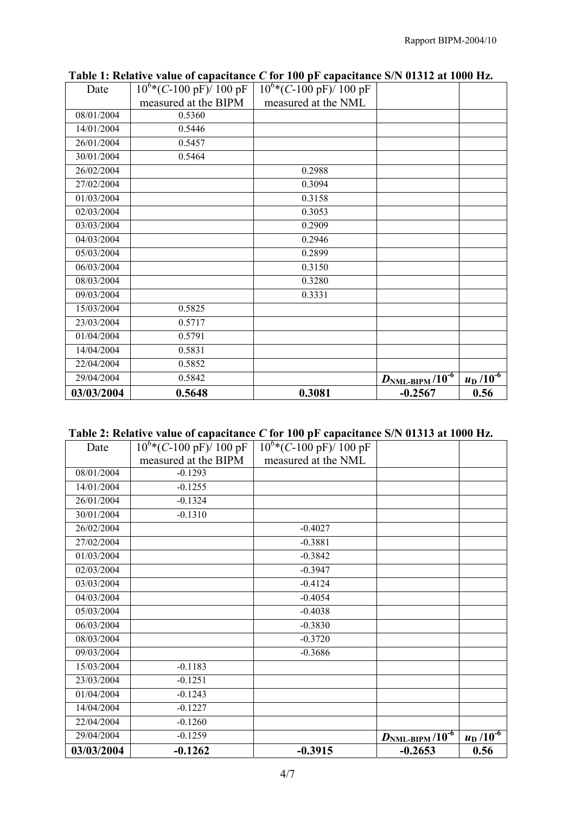| Date       | $10^{6}$ *(C-100 pF)/ 100 pF | $10^{6}$ *(C-100 pF)/ 100 pF |                                      |                       |
|------------|------------------------------|------------------------------|--------------------------------------|-----------------------|
|            | measured at the BIPM         | measured at the NML          |                                      |                       |
| 08/01/2004 | 0.5360                       |                              |                                      |                       |
| 14/01/2004 | 0.5446                       |                              |                                      |                       |
| 26/01/2004 | 0.5457                       |                              |                                      |                       |
| 30/01/2004 | 0.5464                       |                              |                                      |                       |
| 26/02/2004 |                              | 0.2988                       |                                      |                       |
| 27/02/2004 |                              | 0.3094                       |                                      |                       |
| 01/03/2004 |                              | 0.3158                       |                                      |                       |
| 02/03/2004 |                              | 0.3053                       |                                      |                       |
| 03/03/2004 |                              | 0.2909                       |                                      |                       |
| 04/03/2004 |                              | 0.2946                       |                                      |                       |
| 05/03/2004 |                              | 0.2899                       |                                      |                       |
| 06/03/2004 |                              | 0.3150                       |                                      |                       |
| 08/03/2004 |                              | 0.3280                       |                                      |                       |
| 09/03/2004 |                              | 0.3331                       |                                      |                       |
| 15/03/2004 | 0.5825                       |                              |                                      |                       |
| 23/03/2004 | 0.5717                       |                              |                                      |                       |
| 01/04/2004 | 0.5791                       |                              |                                      |                       |
| 14/04/2004 | 0.5831                       |                              |                                      |                       |
| 22/04/2004 | 0.5852                       |                              |                                      |                       |
| 29/04/2004 | 0.5842                       |                              | $D_{\rm NML-BIPM}$ /10 <sup>-6</sup> | $\frac{u_D}{10^{-6}}$ |
| 03/03/2004 | 0.5648                       | 0.3081                       | $-0.2567$                            | 0.56                  |

**Table 1: Relative value of capacitance** *C* **for 100 pF capacitance S/N 01312 at 1000 Hz.**

### **Table 2: Relative value of capacitance** *C* **for 100 pF capacitance S/N 01313 at 1000 Hz.**

| Date       | $10^{6}$ *(C-100 pF)/ 100 pF | $10^{6}$ *(C-100 pF)/ 100 pF |                                      |                       |
|------------|------------------------------|------------------------------|--------------------------------------|-----------------------|
|            | measured at the BIPM         | measured at the NML          |                                      |                       |
| 08/01/2004 | $-0.1293$                    |                              |                                      |                       |
| 14/01/2004 | $-0.1255$                    |                              |                                      |                       |
| 26/01/2004 | $-0.1324$                    |                              |                                      |                       |
| 30/01/2004 | $-0.1310$                    |                              |                                      |                       |
| 26/02/2004 |                              | $-0.4027$                    |                                      |                       |
| 27/02/2004 |                              | $-0.3881$                    |                                      |                       |
| 01/03/2004 |                              | $-0.3842$                    |                                      |                       |
| 02/03/2004 |                              | $-0.3947$                    |                                      |                       |
| 03/03/2004 |                              | $-0.4124$                    |                                      |                       |
| 04/03/2004 |                              | $-0.4054$                    |                                      |                       |
| 05/03/2004 |                              | $-0.4038$                    |                                      |                       |
| 06/03/2004 |                              | $-0.3830$                    |                                      |                       |
| 08/03/2004 |                              | $-0.3720$                    |                                      |                       |
| 09/03/2004 |                              | $-0.3686$                    |                                      |                       |
| 15/03/2004 | $-0.1183$                    |                              |                                      |                       |
| 23/03/2004 | $-0.1251$                    |                              |                                      |                       |
| 01/04/2004 | $-0.1243$                    |                              |                                      |                       |
| 14/04/2004 | $-0.1227$                    |                              |                                      |                       |
| 22/04/2004 | $-0.1260$                    |                              |                                      |                       |
| 29/04/2004 | $-0.1259$                    |                              | $D_{\rm NML-BIPM}$ /10 <sup>-6</sup> | $\frac{u_D}{10^{-6}}$ |
| 03/03/2004 | $-0.1262$                    | $-0.3915$                    | $-0.2653$                            | 0.56                  |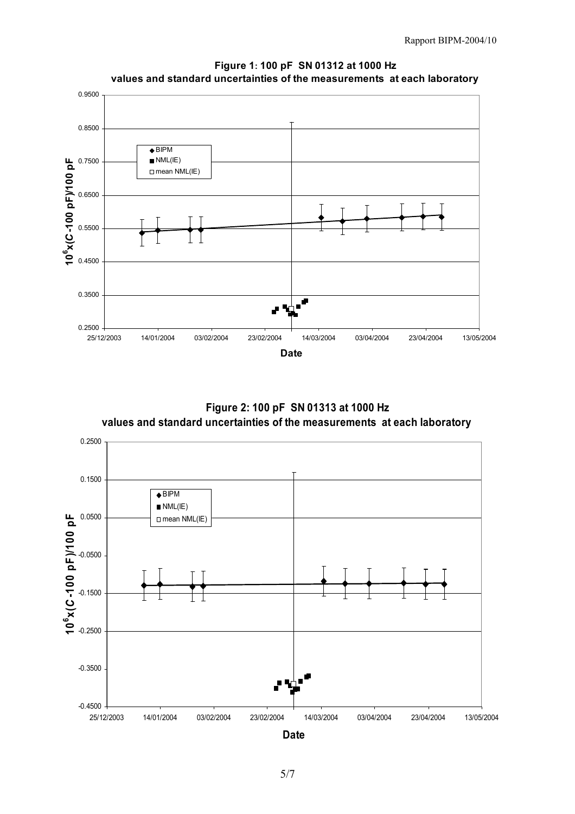

 **Figure 1: 100 pF SN 01312 at 1000 Hz values and standard uncertainties of the measurements at each laboratory**

 **Figure 2: 100 pF SN 01313 at 1000 Hz values and standard uncertainties of the measurements at each laboratory**



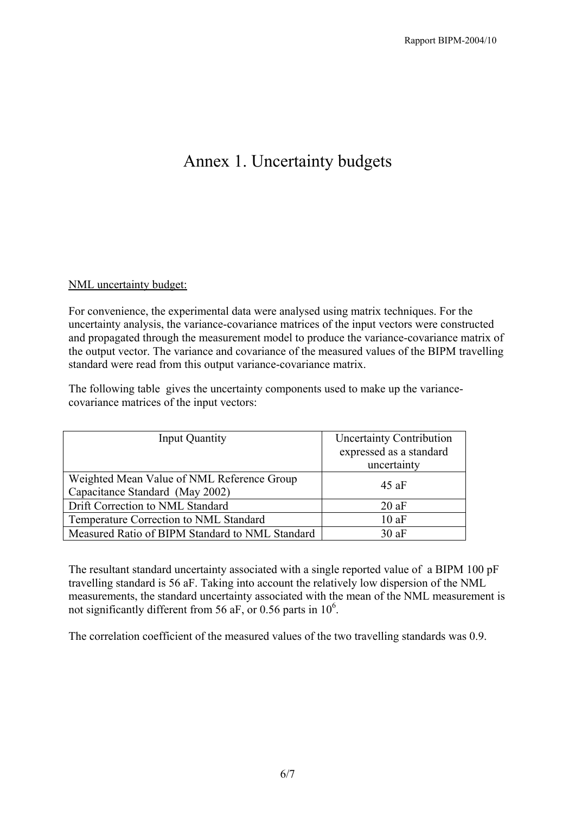## Annex 1. Uncertainty budgets

#### NML uncertainty budget:

For convenience, the experimental data were analysed using matrix techniques. For the uncertainty analysis, the variance-covariance matrices of the input vectors were constructed and propagated through the measurement model to produce the variance-covariance matrix of the output vector. The variance and covariance of the measured values of the BIPM travelling standard were read from this output variance-covariance matrix.

The following table gives the uncertainty components used to make up the variancecovariance matrices of the input vectors:

| <b>Input Quantity</b>                                                         | <b>Uncertainty Contribution</b><br>expressed as a standard<br>uncertainty |
|-------------------------------------------------------------------------------|---------------------------------------------------------------------------|
| Weighted Mean Value of NML Reference Group<br>Capacitance Standard (May 2002) | 45aF                                                                      |
| Drift Correction to NML Standard                                              | 20aF                                                                      |
| Temperature Correction to NML Standard                                        | 10aF                                                                      |
| Measured Ratio of BIPM Standard to NML Standard                               | 30aF                                                                      |

The resultant standard uncertainty associated with a single reported value of a BIPM 100 pF travelling standard is 56 aF. Taking into account the relatively low dispersion of the NML measurements, the standard uncertainty associated with the mean of the NML measurement is not significantly different from 56 aF, or 0.56 parts in  $10^6$ .

The correlation coefficient of the measured values of the two travelling standards was 0.9.